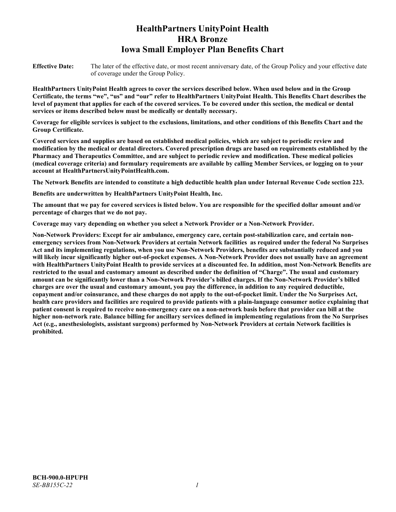# **HealthPartners UnityPoint Health HRA Bronze Iowa Small Employer Plan Benefits Chart**

**Effective Date:** The later of the effective date, or most recent anniversary date, of the Group Policy and your effective date of coverage under the Group Policy.

**HealthPartners UnityPoint Health agrees to cover the services described below. When used below and in the Group Certificate, the terms "we", "us" and "our" refer to HealthPartners UnityPoint Health. This Benefits Chart describes the level of payment that applies for each of the covered services. To be covered under this section, the medical or dental services or items described below must be medically or dentally necessary.**

**Coverage for eligible services is subject to the exclusions, limitations, and other conditions of this Benefits Chart and the Group Certificate.** 

**Covered services and supplies are based on established medical policies, which are subject to periodic review and modification by the medical or dental directors. Covered prescription drugs are based on requirements established by the Pharmacy and Therapeutics Committee, and are subject to periodic review and modification. These medical policies (medical coverage criteria) and formulary requirements are available by calling Member Services, or logging on to your account at [HealthPartnersUnityPointHealth.com.](https://www.healthpartnersunitypointhealth.com/)**

**The Network Benefits are intended to constitute a high deductible health plan under Internal Revenue Code section 223.**

**Benefits are underwritten by HealthPartners UnityPoint Health, Inc.**

**The amount that we pay for covered services is listed below. You are responsible for the specified dollar amount and/or percentage of charges that we do not pay.**

**Coverage may vary depending on whether you select a Network Provider or a Non-Network Provider.**

**Non-Network Providers: Except for air ambulance, emergency care, certain post-stabilization care, and certain nonemergency services from Non-Network Providers at certain Network facilities as required under the federal No Surprises Act and its implementing regulations, when you use Non-Network Providers, benefits are substantially reduced and you will likely incur significantly higher out-of-pocket expenses. A Non-Network Provider does not usually have an agreement with HealthPartners UnityPoint Health to provide services at a discounted fee. In addition, most Non-Network Benefits are restricted to the usual and customary amount as described under the definition of "Charge". The usual and customary amount can be significantly lower than a Non-Network Provider's billed charges. If the Non-Network Provider's billed charges are over the usual and customary amount, you pay the difference, in addition to any required deductible, copayment and/or coinsurance, and these charges do not apply to the out-of-pocket limit. Under the No Surprises Act, health care providers and facilities are required to provide patients with a plain-language consumer notice explaining that patient consent is required to receive non-emergency care on a non-network basis before that provider can bill at the higher non-network rate. Balance billing for ancillary services defined in implementing regulations from the No Surprises Act (e.g., anesthesiologists, assistant surgeons) performed by Non-Network Providers at certain Network facilities is prohibited.**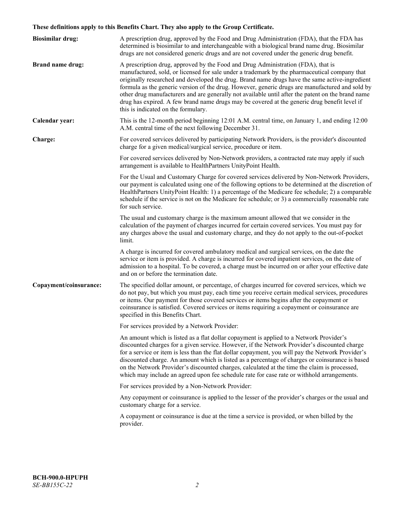# **These definitions apply to this Benefits Chart. They also apply to the Group Certificate.**

| <b>Biosimilar drug:</b> | A prescription drug, approved by the Food and Drug Administration (FDA), that the FDA has<br>determined is biosimilar to and interchangeable with a biological brand name drug. Biosimilar<br>drugs are not considered generic drugs and are not covered under the generic drug benefit.                                                                                                                                                                                                                                                                                                                                           |
|-------------------------|------------------------------------------------------------------------------------------------------------------------------------------------------------------------------------------------------------------------------------------------------------------------------------------------------------------------------------------------------------------------------------------------------------------------------------------------------------------------------------------------------------------------------------------------------------------------------------------------------------------------------------|
| <b>Brand name drug:</b> | A prescription drug, approved by the Food and Drug Administration (FDA), that is<br>manufactured, sold, or licensed for sale under a trademark by the pharmaceutical company that<br>originally researched and developed the drug. Brand name drugs have the same active-ingredient<br>formula as the generic version of the drug. However, generic drugs are manufactured and sold by<br>other drug manufacturers and are generally not available until after the patent on the brand name<br>drug has expired. A few brand name drugs may be covered at the generic drug benefit level if<br>this is indicated on the formulary. |
| Calendar year:          | This is the 12-month period beginning 12:01 A.M. central time, on January 1, and ending 12:00<br>A.M. central time of the next following December 31.                                                                                                                                                                                                                                                                                                                                                                                                                                                                              |
| Charge:                 | For covered services delivered by participating Network Providers, is the provider's discounted<br>charge for a given medical/surgical service, procedure or item.                                                                                                                                                                                                                                                                                                                                                                                                                                                                 |
|                         | For covered services delivered by Non-Network providers, a contracted rate may apply if such<br>arrangement is available to HealthPartners UnityPoint Health.                                                                                                                                                                                                                                                                                                                                                                                                                                                                      |
|                         | For the Usual and Customary Charge for covered services delivered by Non-Network Providers,<br>our payment is calculated using one of the following options to be determined at the discretion of<br>HealthPartners UnityPoint Health: 1) a percentage of the Medicare fee schedule; 2) a comparable<br>schedule if the service is not on the Medicare fee schedule; or 3) a commercially reasonable rate<br>for such service.                                                                                                                                                                                                     |
|                         | The usual and customary charge is the maximum amount allowed that we consider in the<br>calculation of the payment of charges incurred for certain covered services. You must pay for<br>any charges above the usual and customary charge, and they do not apply to the out-of-pocket<br>limit.                                                                                                                                                                                                                                                                                                                                    |
|                         | A charge is incurred for covered ambulatory medical and surgical services, on the date the<br>service or item is provided. A charge is incurred for covered inpatient services, on the date of<br>admission to a hospital. To be covered, a charge must be incurred on or after your effective date<br>and on or before the termination date.                                                                                                                                                                                                                                                                                      |
| Copayment/coinsurance:  | The specified dollar amount, or percentage, of charges incurred for covered services, which we<br>do not pay, but which you must pay, each time you receive certain medical services, procedures<br>or items. Our payment for those covered services or items begins after the copayment or<br>coinsurance is satisfied. Covered services or items requiring a copayment or coinsurance are<br>specified in this Benefits Chart.                                                                                                                                                                                                   |
|                         | For services provided by a Network Provider:                                                                                                                                                                                                                                                                                                                                                                                                                                                                                                                                                                                       |
|                         | An amount which is listed as a flat dollar copayment is applied to a Network Provider's<br>discounted charges for a given service. However, if the Network Provider's discounted charge<br>for a service or item is less than the flat dollar copayment, you will pay the Network Provider's<br>discounted charge. An amount which is listed as a percentage of charges or coinsurance is based<br>on the Network Provider's discounted charges, calculated at the time the claim is processed,<br>which may include an agreed upon fee schedule rate for case rate or withhold arrangements.                                      |
|                         | For services provided by a Non-Network Provider:                                                                                                                                                                                                                                                                                                                                                                                                                                                                                                                                                                                   |
|                         | Any copayment or coinsurance is applied to the lesser of the provider's charges or the usual and<br>customary charge for a service.                                                                                                                                                                                                                                                                                                                                                                                                                                                                                                |
|                         | A copayment or coinsurance is due at the time a service is provided, or when billed by the<br>provider.                                                                                                                                                                                                                                                                                                                                                                                                                                                                                                                            |
|                         |                                                                                                                                                                                                                                                                                                                                                                                                                                                                                                                                                                                                                                    |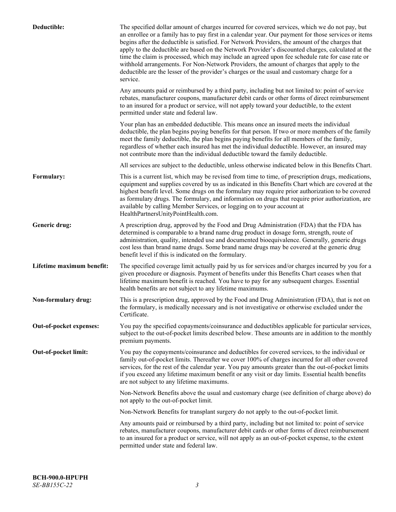| Deductible:               | The specified dollar amount of charges incurred for covered services, which we do not pay, but<br>an enrollee or a family has to pay first in a calendar year. Our payment for those services or items<br>begins after the deductible is satisfied. For Network Providers, the amount of the charges that<br>apply to the deductible are based on the Network Provider's discounted charges, calculated at the<br>time the claim is processed, which may include an agreed upon fee schedule rate for case rate or<br>withhold arrangements. For Non-Network Providers, the amount of charges that apply to the<br>deductible are the lesser of the provider's charges or the usual and customary charge for a<br>service. |
|---------------------------|----------------------------------------------------------------------------------------------------------------------------------------------------------------------------------------------------------------------------------------------------------------------------------------------------------------------------------------------------------------------------------------------------------------------------------------------------------------------------------------------------------------------------------------------------------------------------------------------------------------------------------------------------------------------------------------------------------------------------|
|                           | Any amounts paid or reimbursed by a third party, including but not limited to: point of service<br>rebates, manufacturer coupons, manufacturer debit cards or other forms of direct reimbursement<br>to an insured for a product or service, will not apply toward your deductible, to the extent<br>permitted under state and federal law.                                                                                                                                                                                                                                                                                                                                                                                |
|                           | Your plan has an embedded deductible. This means once an insured meets the individual<br>deductible, the plan begins paying benefits for that person. If two or more members of the family<br>meet the family deductible, the plan begins paying benefits for all members of the family,<br>regardless of whether each insured has met the individual deductible. However, an insured may<br>not contribute more than the individual deductible toward the family deductible.                                                                                                                                                                                                                                              |
|                           | All services are subject to the deductible, unless otherwise indicated below in this Benefits Chart.                                                                                                                                                                                                                                                                                                                                                                                                                                                                                                                                                                                                                       |
| Formulary:                | This is a current list, which may be revised from time to time, of prescription drugs, medications,<br>equipment and supplies covered by us as indicated in this Benefits Chart which are covered at the<br>highest benefit level. Some drugs on the formulary may require prior authorization to be covered<br>as formulary drugs. The formulary, and information on drugs that require prior authorization, are<br>available by calling Member Services, or logging on to your account at<br>HealthPartnersUnityPointHealth.com.                                                                                                                                                                                         |
| Generic drug:             | A prescription drug, approved by the Food and Drug Administration (FDA) that the FDA has<br>determined is comparable to a brand name drug product in dosage form, strength, route of<br>administration, quality, intended use and documented bioequivalence. Generally, generic drugs<br>cost less than brand name drugs. Some brand name drugs may be covered at the generic drug<br>benefit level if this is indicated on the formulary.                                                                                                                                                                                                                                                                                 |
| Lifetime maximum benefit: | The specified coverage limit actually paid by us for services and/or charges incurred by you for a<br>given procedure or diagnosis. Payment of benefits under this Benefits Chart ceases when that<br>lifetime maximum benefit is reached. You have to pay for any subsequent charges. Essential<br>health benefits are not subject to any lifetime maximums.                                                                                                                                                                                                                                                                                                                                                              |
| Non-formulary drug:       | This is a prescription drug, approved by the Food and Drug Administration (FDA), that is not on<br>the formulary, is medically necessary and is not investigative or otherwise excluded under the<br>Certificate.                                                                                                                                                                                                                                                                                                                                                                                                                                                                                                          |
| Out-of-pocket expenses:   | You pay the specified copayments/coinsurance and deductibles applicable for particular services,<br>subject to the out-of-pocket limits described below. These amounts are in addition to the monthly<br>premium payments.                                                                                                                                                                                                                                                                                                                                                                                                                                                                                                 |
| Out-of-pocket limit:      | You pay the copayments/coinsurance and deductibles for covered services, to the individual or<br>family out-of-pocket limits. Thereafter we cover 100% of charges incurred for all other covered<br>services, for the rest of the calendar year. You pay amounts greater than the out-of-pocket limits<br>if you exceed any lifetime maximum benefit or any visit or day limits. Essential health benefits<br>are not subject to any lifetime maximums.                                                                                                                                                                                                                                                                    |
|                           | Non-Network Benefits above the usual and customary charge (see definition of charge above) do<br>not apply to the out-of-pocket limit.                                                                                                                                                                                                                                                                                                                                                                                                                                                                                                                                                                                     |
|                           | Non-Network Benefits for transplant surgery do not apply to the out-of-pocket limit.                                                                                                                                                                                                                                                                                                                                                                                                                                                                                                                                                                                                                                       |
|                           | Any amounts paid or reimbursed by a third party, including but not limited to: point of service<br>rebates, manufacturer coupons, manufacturer debit cards or other forms of direct reimbursement<br>to an insured for a product or service, will not apply as an out-of-pocket expense, to the extent<br>permitted under state and federal law.                                                                                                                                                                                                                                                                                                                                                                           |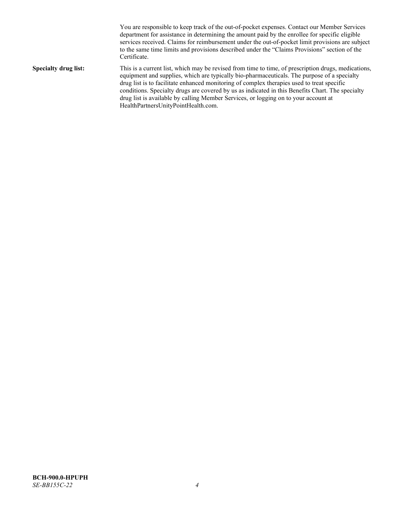You are responsible to keep track of the out-of-pocket expenses. Contact our Member Services department for assistance in determining the amount paid by the enrollee for specific eligible services received. Claims for reimbursement under the out-of-pocket limit provisions are subject to the same time limits and provisions described under the "Claims Provisions" section of the Certificate. **Specialty drug list:** This is a current list, which may be revised from time to time, of prescription drugs, medications, equipment and supplies, which are typically bio-pharmaceuticals. The purpose of a specialty drug list is to facilitate enhanced monitoring of complex therapies used to treat specific conditions. Specialty drugs are covered by us as indicated in this Benefits Chart. The specialty drug list is available by calling Member Services, or logging on to your account at [HealthPartnersUnityPointHealth.com.](https://www.healthpartnersunitypointhealth.com/)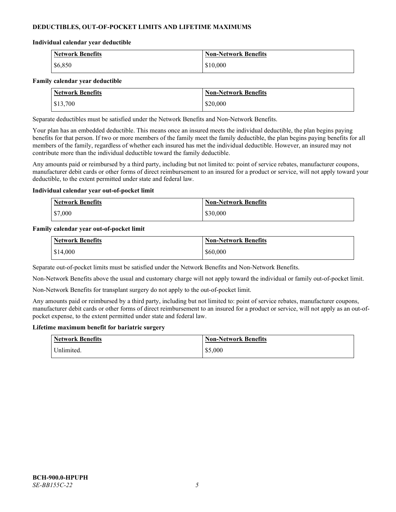# **DEDUCTIBLES, OUT-OF-POCKET LIMITS AND LIFETIME MAXIMUMS**

#### **Individual calendar year deductible**

| <b>Network Benefits</b> | <b>Non-Network Benefits</b> |
|-------------------------|-----------------------------|
| \$6,850                 | \$10,000                    |

#### **Family calendar year deductible**

| <b>Network Benefits</b> | <b>Non-Network Benefits</b> |
|-------------------------|-----------------------------|
| \$13,700                | \$20,000                    |

Separate deductibles must be satisfied under the Network Benefits and Non-Network Benefits.

Your plan has an embedded deductible. This means once an insured meets the individual deductible, the plan begins paying benefits for that person. If two or more members of the family meet the family deductible, the plan begins paying benefits for all members of the family, regardless of whether each insured has met the individual deductible. However, an insured may not contribute more than the individual deductible toward the family deductible.

Any amounts paid or reimbursed by a third party, including but not limited to: point of service rebates, manufacturer coupons, manufacturer debit cards or other forms of direct reimbursement to an insured for a product or service, will not apply toward your deductible, to the extent permitted under state and federal law.

#### **Individual calendar year out-of-pocket limit**

| <b>Network Benefits</b> | <b>Non-Network Benefits</b> |
|-------------------------|-----------------------------|
| \$7,000                 | \$30,000                    |

#### **Family calendar year out-of-pocket limit**

| <b>Network Benefits</b> | <b>Non-Network Benefits</b> |
|-------------------------|-----------------------------|
| \$14,000                | \$60,000                    |

Separate out-of-pocket limits must be satisfied under the Network Benefits and Non-Network Benefits.

Non-Network Benefits above the usual and customary charge will not apply toward the individual or family out-of-pocket limit.

Non-Network Benefits for transplant surgery do not apply to the out-of-pocket limit.

Any amounts paid or reimbursed by a third party, including but not limited to: point of service rebates, manufacturer coupons, manufacturer debit cards or other forms of direct reimbursement to an insured for a product or service, will not apply as an out-ofpocket expense, to the extent permitted under state and federal law.

#### **Lifetime maximum benefit for bariatric surgery**

| <b>Network Benefits</b> | <b>Non-Network Benefits</b> |
|-------------------------|-----------------------------|
| <sup>I</sup> Inlimited. | \$5,000                     |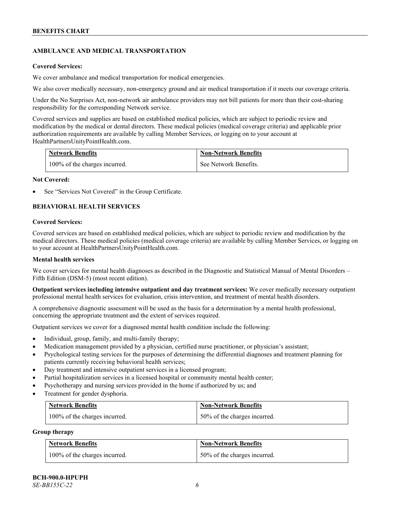# **AMBULANCE AND MEDICAL TRANSPORTATION**

#### **Covered Services:**

We cover ambulance and medical transportation for medical emergencies.

We also cover medically necessary, non-emergency ground and air medical transportation if it meets our coverage criteria.

Under the No Surprises Act, non-network air ambulance providers may not bill patients for more than their cost-sharing responsibility for the corresponding Network service.

Covered services and supplies are based on established medical policies, which are subject to periodic review and modification by the medical or dental directors. These medical policies (medical coverage criteria) and applicable prior authorization requirements are available by calling Member Services, or logging on to your account at [HealthPartnersUnityPointHealth.com.](https://www.healthpartnersunitypointhealth.com/)

| <b>Network Benefits</b>       | <b>Non-Network Benefits</b> |
|-------------------------------|-----------------------------|
| 100% of the charges incurred. | See Network Benefits.       |

#### **Not Covered:**

See "Services Not Covered" in the Group Certificate.

# **BEHAVIORAL HEALTH SERVICES**

#### **Covered Services:**

Covered services are based on established medical policies, which are subject to periodic review and modification by the medical directors. These medical policies (medical coverage criteria) are available by calling Member Services, or logging on to your account at [HealthPartnersUnityPointHealth.com.](https://www.healthpartnersunitypointhealth.com/)

#### **Mental health services**

We cover services for mental health diagnoses as described in the Diagnostic and Statistical Manual of Mental Disorders – Fifth Edition (DSM-5) (most recent edition).

**Outpatient services including intensive outpatient and day treatment services:** We cover medically necessary outpatient professional mental health services for evaluation, crisis intervention, and treatment of mental health disorders.

A comprehensive diagnostic assessment will be used as the basis for a determination by a mental health professional, concerning the appropriate treatment and the extent of services required.

Outpatient services we cover for a diagnosed mental health condition include the following:

- Individual, group, family, and multi-family therapy;
- Medication management provided by a physician, certified nurse practitioner, or physician's assistant;
- Psychological testing services for the purposes of determining the differential diagnoses and treatment planning for patients currently receiving behavioral health services;
- Day treatment and intensive outpatient services in a licensed program;
- Partial hospitalization services in a licensed hospital or community mental health center;
- Psychotherapy and nursing services provided in the home if authorized by us; and
- Treatment for gender dysphoria.

| <b>Network Benefits</b>       | <b>Non-Network Benefits</b>  |
|-------------------------------|------------------------------|
| 100% of the charges incurred. | 50% of the charges incurred. |

#### **Group therapy**

| <b>Network Benefits</b>       | <b>Non-Network Benefits</b>  |
|-------------------------------|------------------------------|
| 100% of the charges incurred. | 50% of the charges incurred. |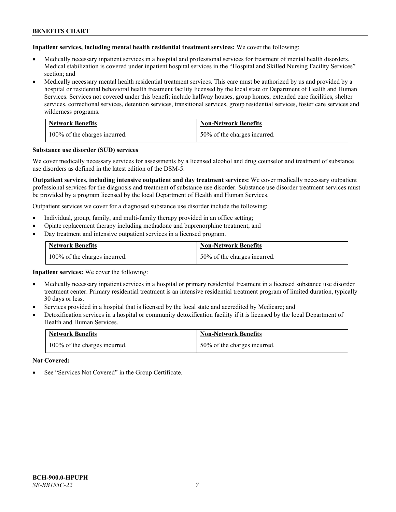**Inpatient services, including mental health residential treatment services:** We cover the following:

- Medically necessary inpatient services in a hospital and professional services for treatment of mental health disorders. Medical stabilization is covered under inpatient hospital services in the "Hospital and Skilled Nursing Facility Services" section; and
- Medically necessary mental health residential treatment services. This care must be authorized by us and provided by a hospital or residential behavioral health treatment facility licensed by the local state or Department of Health and Human Services. Services not covered under this benefit include halfway houses, group homes, extended care facilities, shelter services, correctional services, detention services, transitional services, group residential services, foster care services and wilderness programs.

| <b>Network Benefits</b>       | <b>Non-Network Benefits</b>  |
|-------------------------------|------------------------------|
| 100% of the charges incurred. | 50% of the charges incurred. |

#### **Substance use disorder (SUD) services**

We cover medically necessary services for assessments by a licensed alcohol and drug counselor and treatment of substance use disorders as defined in the latest edition of the DSM-5.

**Outpatient services, including intensive outpatient and day treatment services:** We cover medically necessary outpatient professional services for the diagnosis and treatment of substance use disorder. Substance use disorder treatment services must be provided by a program licensed by the local Department of Health and Human Services.

Outpatient services we cover for a diagnosed substance use disorder include the following:

- Individual, group, family, and multi-family therapy provided in an office setting;
- Opiate replacement therapy including methadone and buprenorphine treatment; and
- Day treatment and intensive outpatient services in a licensed program.

| <b>Network Benefits</b>       | <b>Non-Network Benefits</b>  |
|-------------------------------|------------------------------|
| 100% of the charges incurred. | 50% of the charges incurred. |

**Inpatient services:** We cover the following:

- Medically necessary inpatient services in a hospital or primary residential treatment in a licensed substance use disorder treatment center. Primary residential treatment is an intensive residential treatment program of limited duration, typically 30 days or less.
- Services provided in a hospital that is licensed by the local state and accredited by Medicare; and
- Detoxification services in a hospital or community detoxification facility if it is licensed by the local Department of Health and Human Services.

| <b>Network Benefits</b>       | <b>Non-Network Benefits</b>  |
|-------------------------------|------------------------------|
| 100% of the charges incurred. | 50% of the charges incurred. |

**Not Covered:**

See "Services Not Covered" in the Group Certificate.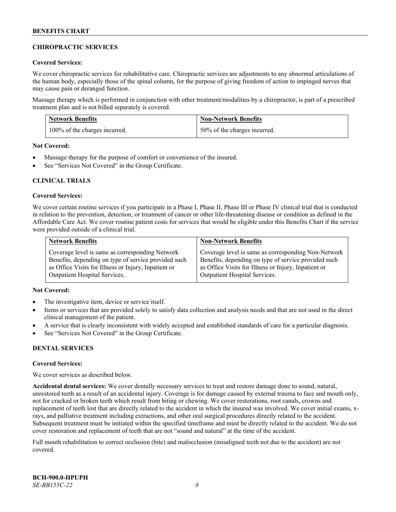# **CHIROPRACTIC SERVICES**

#### **Covered Services:**

We cover chiropractic services for rehabilitative care. Chiropractic services are adjustments to any abnormal articulations of the human body, especially those of the spinal column, for the purpose of giving freedom of action to impinged nerves that may cause pain or deranged function.

Massage therapy which is performed in conjunction with other treatment/modalities by a chiropractor, is part of a prescribed treatment plan and is not billed separately is covered.

| <b>Network Benefits</b>       | <b>Non-Network Benefits</b>  |
|-------------------------------|------------------------------|
| 100% of the charges incurred. | 50% of the charges incurred. |

**Not Covered:**

- Massage therapy for the purpose of comfort or convenience of the insured.
- See "Services Not Covered" in the Group Certificate.

# **CLINICAL TRIALS**

#### **Covered Services:**

We cover certain routine services if you participate in a Phase I, Phase II, Phase III or Phase IV clinical trial that is conducted in relation to the prevention, detection, or treatment of cancer or other life-threatening disease or condition as defined in the Affordable Care Act. We cover routine patient costs for services that would be eligible under this Benefits Chart if the service were provided outside of a clinical trial.

| <b>Network Benefits</b>                              | <b>Non-Network Benefits</b>                          |
|------------------------------------------------------|------------------------------------------------------|
| Coverage level is same as corresponding Network      | Coverage level is same as corresponding Non-Network  |
| Benefits, depending on type of service provided such | Benefits, depending on type of service provided such |
| as Office Visits for Illness or Injury, Inpatient or | as Office Visits for Illness or Injury, Inpatient or |
| <b>Outpatient Hospital Services.</b>                 | <b>Outpatient Hospital Services.</b>                 |

# **Not Covered:**

- The investigative item, device or service itself.
- Items or services that are provided solely to satisfy data collection and analysis needs and that are not used in the direct clinical management of the patient.
- A service that is clearly inconsistent with widely accepted and established standards of care for a particular diagnosis.
- See "Services Not Covered" in the Group Certificate.

# **DENTAL SERVICES**

#### **Covered Services:**

We cover services as described below.

**Accidental dental services:** We cover dentally necessary services to treat and restore damage done to sound, natural, unrestored teeth as a result of an accidental injury. Coverage is for damage caused by external trauma to face and mouth only, not for cracked or broken teeth which result from biting or chewing. We cover restorations, root canals, crowns and replacement of teeth lost that are directly related to the accident in which the insured was involved. We cover initial exams, xrays, and palliative treatment including extractions, and other oral surgical procedures directly related to the accident. Subsequent treatment must be initiated within the specified timeframe and must be directly related to the accident. We do not cover restoration and replacement of teeth that are not "sound and natural" at the time of the accident.

Full mouth rehabilitation to correct occlusion (bite) and malocclusion (misaligned teeth not due to the accident) are not covered.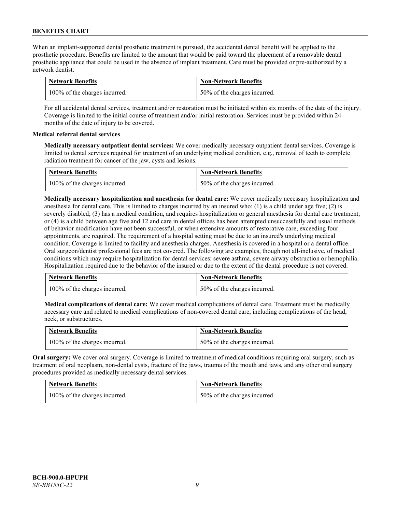When an implant-supported dental prosthetic treatment is pursued, the accidental dental benefit will be applied to the prosthetic procedure. Benefits are limited to the amount that would be paid toward the placement of a removable dental prosthetic appliance that could be used in the absence of implant treatment. Care must be provided or pre-authorized by a network dentist.

| <b>Network Benefits</b>       | <b>Non-Network Benefits</b>  |
|-------------------------------|------------------------------|
| 100% of the charges incurred. | 50% of the charges incurred. |

For all accidental dental services, treatment and/or restoration must be initiated within six months of the date of the injury. Coverage is limited to the initial course of treatment and/or initial restoration. Services must be provided within 24 months of the date of injury to be covered.

# **Medical referral dental services**

**Medically necessary outpatient dental services:** We cover medically necessary outpatient dental services. Coverage is limited to dental services required for treatment of an underlying medical condition, e.g., removal of teeth to complete radiation treatment for cancer of the jaw, cysts and lesions.

| <b>Network Benefits</b>       | <b>Non-Network Benefits</b>  |
|-------------------------------|------------------------------|
| 100% of the charges incurred. | 50% of the charges incurred. |

**Medically necessary hospitalization and anesthesia for dental care:** We cover medically necessary hospitalization and anesthesia for dental care. This is limited to charges incurred by an insured who: (1) is a child under age five; (2) is severely disabled; (3) has a medical condition, and requires hospitalization or general anesthesia for dental care treatment; or (4) is a child between age five and 12 and care in dental offices has been attempted unsuccessfully and usual methods of behavior modification have not been successful, or when extensive amounts of restorative care, exceeding four appointments, are required. The requirement of a hospital setting must be due to an insured's underlying medical condition. Coverage is limited to facility and anesthesia charges. Anesthesia is covered in a hospital or a dental office. Oral surgeon/dentist professional fees are not covered. The following are examples, though not all-inclusive, of medical conditions which may require hospitalization for dental services: severe asthma, severe airway obstruction or hemophilia. Hospitalization required due to the behavior of the insured or due to the extent of the dental procedure is not covered.

| <b>Network Benefits</b>       | <b>Non-Network Benefits</b>  |
|-------------------------------|------------------------------|
| 100% of the charges incurred. | 50% of the charges incurred. |

**Medical complications of dental care:** We cover medical complications of dental care. Treatment must be medically necessary care and related to medical complications of non-covered dental care, including complications of the head, neck, or substructures.

| <b>Network Benefits</b>       | <b>Non-Network Benefits</b>  |
|-------------------------------|------------------------------|
| 100% of the charges incurred. | 50% of the charges incurred. |

**Oral surgery:** We cover oral surgery. Coverage is limited to treatment of medical conditions requiring oral surgery, such as treatment of oral neoplasm, non-dental cysts, fracture of the jaws, trauma of the mouth and jaws, and any other oral surgery procedures provided as medically necessary dental services.

| <b>Network Benefits</b>       | <b>Non-Network Benefits</b>  |
|-------------------------------|------------------------------|
| 100% of the charges incurred. | 50% of the charges incurred. |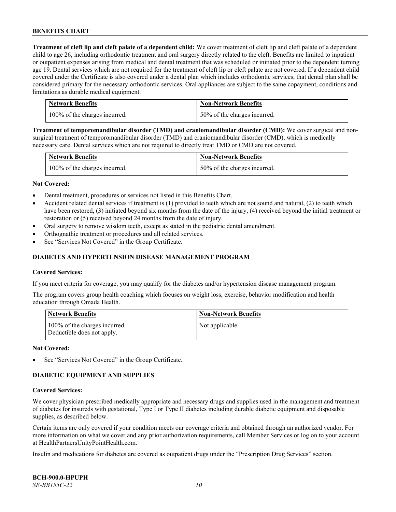**Treatment of cleft lip and cleft palate of a dependent child:** We cover treatment of cleft lip and cleft palate of a dependent child to age 26, including orthodontic treatment and oral surgery directly related to the cleft. Benefits are limited to inpatient or outpatient expenses arising from medical and dental treatment that was scheduled or initiated prior to the dependent turning age 19. Dental services which are not required for the treatment of cleft lip or cleft palate are not covered. If a dependent child covered under the Certificate is also covered under a dental plan which includes orthodontic services, that dental plan shall be considered primary for the necessary orthodontic services. Oral appliances are subject to the same copayment, conditions and limitations as durable medical equipment.

| <b>Network Benefits</b>       | <b>Non-Network Benefits</b>  |
|-------------------------------|------------------------------|
| 100% of the charges incurred. | 50% of the charges incurred. |

**Treatment of temporomandibular disorder (TMD) and craniomandibular disorder (CMD):** We cover surgical and nonsurgical treatment of temporomandibular disorder (TMD) and craniomandibular disorder (CMD), which is medically necessary care. Dental services which are not required to directly treat TMD or CMD are not covered.

| <b>Network Benefits</b>       | <b>Non-Network Benefits</b>  |
|-------------------------------|------------------------------|
| 100% of the charges incurred. | 50% of the charges incurred. |

#### **Not Covered:**

- Dental treatment, procedures or services not listed in this Benefits Chart.
- Accident related dental services if treatment is (1) provided to teeth which are not sound and natural, (2) to teeth which have been restored, (3) initiated beyond six months from the date of the injury, (4) received beyond the initial treatment or restoration or (5) received beyond 24 months from the date of injury.
- Oral surgery to remove wisdom teeth, except as stated in the pediatric dental amendment.
- Orthognathic treatment or procedures and all related services.
- See "Services Not Covered" in the Group Certificate.

#### **DIABETES AND HYPERTENSION DISEASE MANAGEMENT PROGRAM**

#### **Covered Services:**

If you meet criteria for coverage, you may qualify for the diabetes and/or hypertension disease management program.

The program covers group health coaching which focuses on weight loss, exercise, behavior modification and health education through Omada Health.

| <b>Network Benefits</b>                                     | <b>Non-Network Benefits</b> |
|-------------------------------------------------------------|-----------------------------|
| 100% of the charges incurred.<br>Deductible does not apply. | Not applicable.             |

#### **Not Covered:**

See "Services Not Covered" in the Group Certificate.

# **DIABETIC EQUIPMENT AND SUPPLIES**

#### **Covered Services:**

We cover physician prescribed medically appropriate and necessary drugs and supplies used in the management and treatment of diabetes for insureds with gestational, Type I or Type II diabetes including durable diabetic equipment and disposable supplies, as described below.

Certain items are only covered if your condition meets our coverage criteria and obtained through an authorized vendor. For more information on what we cover and any prior authorization requirements, call Member Services or log on to your account at [HealthPartnersUnityPointHealth.com.](https://www.healthpartnersunitypointhealth.com/)

Insulin and medications for diabetes are covered as outpatient drugs under the "Prescription Drug Services" section.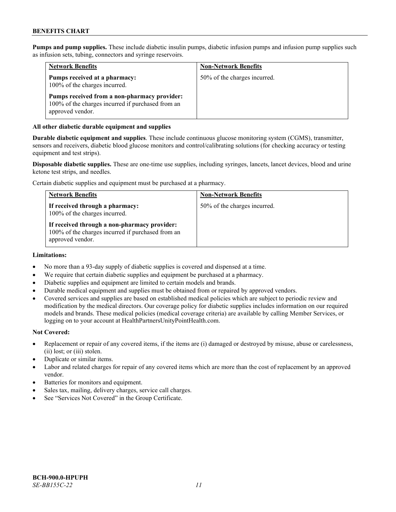**Pumps and pump supplies.** These include diabetic insulin pumps, diabetic infusion pumps and infusion pump supplies such as infusion sets, tubing, connectors and syringe reservoirs.

| <b>Network Benefits</b>                                                                                               | <b>Non-Network Benefits</b>  |
|-----------------------------------------------------------------------------------------------------------------------|------------------------------|
| Pumps received at a pharmacy:<br>100% of the charges incurred.                                                        | 50% of the charges incurred. |
| Pumps received from a non-pharmacy provider:<br>100% of the charges incurred if purchased from an<br>approved vendor. |                              |

#### **All other diabetic durable equipment and supplies**

**Durable diabetic equipment and supplies**. These include continuous glucose monitoring system (CGMS), transmitter, sensors and receivers, diabetic blood glucose monitors and control/calibrating solutions (for checking accuracy or testing equipment and test strips).

**Disposable diabetic supplies.** These are one-time use supplies, including syringes, lancets, lancet devices, blood and urine ketone test strips, and needles.

Certain diabetic supplies and equipment must be purchased at a pharmacy.

| <b>Network Benefits</b>                                                                                               | <b>Non-Network Benefits</b>  |
|-----------------------------------------------------------------------------------------------------------------------|------------------------------|
| If received through a pharmacy:<br>100% of the charges incurred.                                                      | 50% of the charges incurred. |
| If received through a non-pharmacy provider:<br>100% of the charges incurred if purchased from an<br>approved vendor. |                              |

#### **Limitations:**

- No more than a 93-day supply of diabetic supplies is covered and dispensed at a time.
- We require that certain diabetic supplies and equipment be purchased at a pharmacy.
- Diabetic supplies and equipment are limited to certain models and brands.
- Durable medical equipment and supplies must be obtained from or repaired by approved vendors.
- Covered services and supplies are based on established medical policies which are subject to periodic review and modification by the medical directors. Our coverage policy for diabetic supplies includes information on our required models and brands. These medical policies (medical coverage criteria) are available by calling Member Services, or logging on to your account at [HealthPartnersUnityPointHealth.com.](https://www.healthpartnersunitypointhealth.com/)

#### **Not Covered:**

- Replacement or repair of any covered items, if the items are (i) damaged or destroyed by misuse, abuse or carelessness, (ii) lost; or (iii) stolen.
- Duplicate or similar items.
- Labor and related charges for repair of any covered items which are more than the cost of replacement by an approved vendor.
- Batteries for monitors and equipment.
- Sales tax, mailing, delivery charges, service call charges.
- See "Services Not Covered" in the Group Certificate.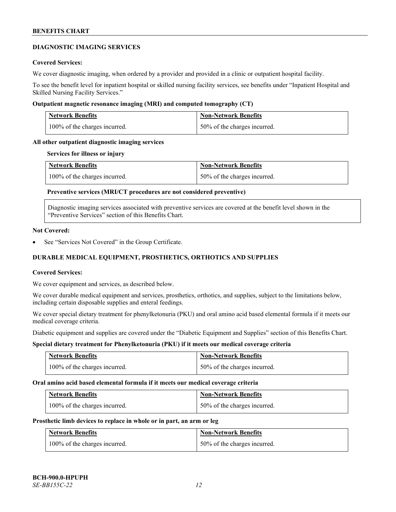#### **DIAGNOSTIC IMAGING SERVICES**

#### **Covered Services:**

We cover diagnostic imaging, when ordered by a provider and provided in a clinic or outpatient hospital facility.

To see the benefit level for inpatient hospital or skilled nursing facility services, see benefits under "Inpatient Hospital and Skilled Nursing Facility Services."

#### **Outpatient magnetic resonance imaging (MRI) and computed tomography (CT)**

| <b>Network Benefits</b>       | <b>Non-Network Benefits</b>  |
|-------------------------------|------------------------------|
| 100% of the charges incurred. | 50% of the charges incurred. |

#### **All other outpatient diagnostic imaging services**

#### **Services for illness or injury**

| <b>Network Benefits</b>       | <b>Non-Network Benefits</b>  |
|-------------------------------|------------------------------|
| 100% of the charges incurred. | 50% of the charges incurred. |

# **Preventive services (MRI/CT procedures are not considered preventive)**

Diagnostic imaging services associated with preventive services are covered at the benefit level shown in the "Preventive Services" section of this Benefits Chart.

#### **Not Covered:**

See "Services Not Covered" in the Group Certificate.

# **DURABLE MEDICAL EQUIPMENT, PROSTHETICS, ORTHOTICS AND SUPPLIES**

#### **Covered Services:**

We cover equipment and services, as described below.

We cover durable medical equipment and services, prosthetics, orthotics, and supplies, subject to the limitations below, including certain disposable supplies and enteral feedings.

We cover special dietary treatment for phenylketonuria (PKU) and oral amino acid based elemental formula if it meets our medical coverage criteria.

Diabetic equipment and supplies are covered under the "Diabetic Equipment and Supplies" section of this Benefits Chart.

# **Special dietary treatment for Phenylketonuria (PKU) if it meets our medical coverage criteria**

| <b>Network Benefits</b>       | <b>Non-Network Benefits</b>  |
|-------------------------------|------------------------------|
| 100% of the charges incurred. | 50% of the charges incurred. |

#### **Oral amino acid based elemental formula if it meets our medical coverage criteria**

| <b>Network Benefits</b>       | <b>Non-Network Benefits</b>  |
|-------------------------------|------------------------------|
| 100% of the charges incurred. | 50% of the charges incurred. |

#### **Prosthetic limb devices to replace in whole or in part, an arm or leg**

| <b>Network Benefits</b>       | <b>Non-Network Benefits</b>  |
|-------------------------------|------------------------------|
| 100% of the charges incurred. | 50% of the charges incurred. |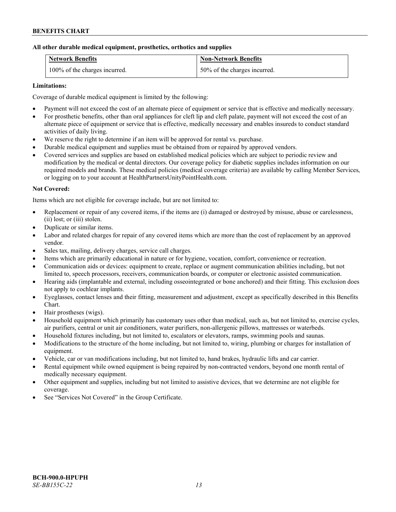# **All other durable medical equipment, prosthetics, orthotics and supplies**

| <b>Network Benefits</b>       | <b>Non-Network Benefits</b>  |
|-------------------------------|------------------------------|
| 100% of the charges incurred. | 50% of the charges incurred. |

# **Limitations:**

Coverage of durable medical equipment is limited by the following:

- Payment will not exceed the cost of an alternate piece of equipment or service that is effective and medically necessary.
- For prosthetic benefits, other than oral appliances for cleft lip and cleft palate, payment will not exceed the cost of an alternate piece of equipment or service that is effective, medically necessary and enables insureds to conduct standard activities of daily living.
- We reserve the right to determine if an item will be approved for rental vs. purchase.
- Durable medical equipment and supplies must be obtained from or repaired by approved vendors.
- Covered services and supplies are based on established medical policies which are subject to periodic review and modification by the medical or dental directors. Our coverage policy for diabetic supplies includes information on our required models and brands. These medical policies (medical coverage criteria) are available by calling Member Services, or logging on to your account at [HealthPartnersUnityPointHealth.com.](https://www.healthpartnersunitypointhealth.com/)

# **Not Covered:**

Items which are not eligible for coverage include, but are not limited to:

- Replacement or repair of any covered items, if the items are (i) damaged or destroyed by misuse, abuse or carelessness, (ii) lost; or (iii) stolen.
- Duplicate or similar items.
- Labor and related charges for repair of any covered items which are more than the cost of replacement by an approved vendor.
- Sales tax, mailing, delivery charges, service call charges.
- Items which are primarily educational in nature or for hygiene, vocation, comfort, convenience or recreation.
- Communication aids or devices: equipment to create, replace or augment communication abilities including, but not limited to, speech processors, receivers, communication boards, or computer or electronic assisted communication.
- Hearing aids (implantable and external, including osseointegrated or bone anchored) and their fitting. This exclusion does not apply to cochlear implants.
- Eyeglasses, contact lenses and their fitting, measurement and adjustment, except as specifically described in this Benefits Chart.
- Hair prostheses (wigs).
- Household equipment which primarily has customary uses other than medical, such as, but not limited to, exercise cycles, air purifiers, central or unit air conditioners, water purifiers, non-allergenic pillows, mattresses or waterbeds.
- Household fixtures including, but not limited to, escalators or elevators, ramps, swimming pools and saunas.
- Modifications to the structure of the home including, but not limited to, wiring, plumbing or charges for installation of equipment.
- Vehicle, car or van modifications including, but not limited to, hand brakes, hydraulic lifts and car carrier.
- Rental equipment while owned equipment is being repaired by non-contracted vendors, beyond one month rental of medically necessary equipment.
- Other equipment and supplies, including but not limited to assistive devices, that we determine are not eligible for coverage.
- See "Services Not Covered" in the Group Certificate.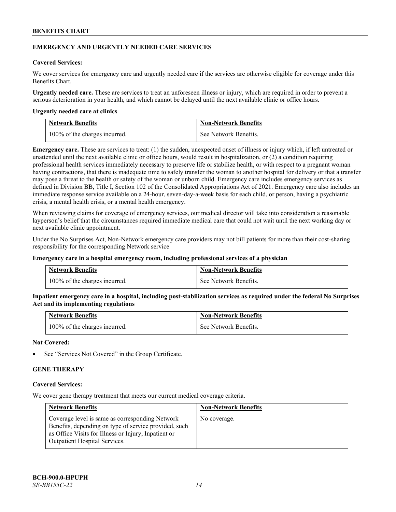#### **EMERGENCY AND URGENTLY NEEDED CARE SERVICES**

#### **Covered Services:**

We cover services for emergency care and urgently needed care if the services are otherwise eligible for coverage under this Benefits Chart.

**Urgently needed care.** These are services to treat an unforeseen illness or injury, which are required in order to prevent a serious deterioration in your health, and which cannot be delayed until the next available clinic or office hours.

#### **Urgently needed care at clinics**

| <b>Network Benefits</b>       | <b>Non-Network Benefits</b> |
|-------------------------------|-----------------------------|
| 100% of the charges incurred. | See Network Benefits.       |

**Emergency care.** These are services to treat: (1) the sudden, unexpected onset of illness or injury which, if left untreated or unattended until the next available clinic or office hours, would result in hospitalization, or (2) a condition requiring professional health services immediately necessary to preserve life or stabilize health, or with respect to a pregnant woman having contractions, that there is inadequate time to safely transfer the woman to another hospital for delivery or that a transfer may pose a threat to the health or safety of the woman or unborn child. Emergency care includes emergency services as defined in Division BB, Title I, Section 102 of the Consolidated Appropriations Act of 2021. Emergency care also includes an immediate response service available on a 24-hour, seven-day-a-week basis for each child, or person, having a psychiatric crisis, a mental health crisis, or a mental health emergency.

When reviewing claims for coverage of emergency services, our medical director will take into consideration a reasonable layperson's belief that the circumstances required immediate medical care that could not wait until the next working day or next available clinic appointment.

Under the No Surprises Act, Non-Network emergency care providers may not bill patients for more than their cost-sharing responsibility for the corresponding Network service

#### **Emergency care in a hospital emergency room, including professional services of a physician**

| <b>Network Benefits</b>       | <b>Non-Network Benefits</b> |
|-------------------------------|-----------------------------|
| 100% of the charges incurred. | See Network Benefits.       |

**Inpatient emergency care in a hospital, including post-stabilization services as required under the federal No Surprises Act and its implementing regulations**

| Network Benefits              | <b>Non-Network Benefits</b> |
|-------------------------------|-----------------------------|
| 100% of the charges incurred. | See Network Benefits.       |

#### **Not Covered:**

See "Services Not Covered" in the Group Certificate.

# **GENE THERAPY**

#### **Covered Services:**

We cover gene therapy treatment that meets our current medical coverage criteria.

| <b>Network Benefits</b>                                                                                                                                                                                  | <b>Non-Network Benefits</b> |
|----------------------------------------------------------------------------------------------------------------------------------------------------------------------------------------------------------|-----------------------------|
| Coverage level is same as corresponding Network<br>Benefits, depending on type of service provided, such<br>as Office Visits for Illness or Injury, Inpatient or<br><b>Outpatient Hospital Services.</b> | No coverage.                |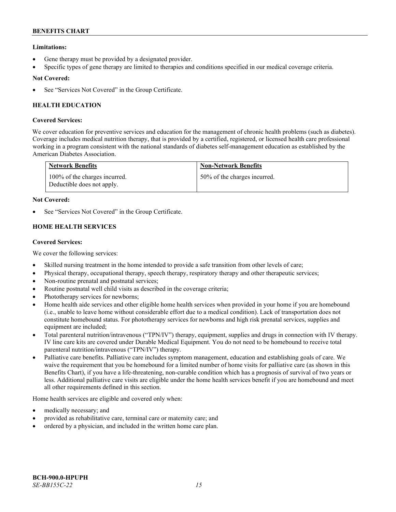# **Limitations:**

- Gene therapy must be provided by a designated provider.
- Specific types of gene therapy are limited to therapies and conditions specified in our medical coverage criteria.

# **Not Covered:**

See "Services Not Covered" in the Group Certificate.

# **HEALTH EDUCATION**

# **Covered Services:**

We cover education for preventive services and education for the management of chronic health problems (such as diabetes). Coverage includes medical nutrition therapy, that is provided by a certified, registered, or licensed health care professional working in a program consistent with the national standards of diabetes self-management education as established by the American Diabetes Association.

| <b>Network Benefits</b>                                     | <b>Non-Network Benefits</b>  |
|-------------------------------------------------------------|------------------------------|
| 100% of the charges incurred.<br>Deductible does not apply. | 50% of the charges incurred. |

# **Not Covered:**

See "Services Not Covered" in the Group Certificate.

# **HOME HEALTH SERVICES**

# **Covered Services:**

We cover the following services:

- Skilled nursing treatment in the home intended to provide a safe transition from other levels of care;
- Physical therapy, occupational therapy, speech therapy, respiratory therapy and other therapeutic services;
- Non-routine prenatal and postnatal services;
- Routine postnatal well child visits as described in the coverage criteria;
- Phototherapy services for newborns;
- Home health aide services and other eligible home health services when provided in your home if you are homebound (i.e., unable to leave home without considerable effort due to a medical condition). Lack of transportation does not constitute homebound status. For phototherapy services for newborns and high risk prenatal services, supplies and equipment are included;
- Total parenteral nutrition/intravenous ("TPN/IV") therapy, equipment, supplies and drugs in connection with IV therapy. IV line care kits are covered under Durable Medical Equipment. You do not need to be homebound to receive total parenteral nutrition/intravenous ("TPN/IV") therapy.
- Palliative care benefits. Palliative care includes symptom management, education and establishing goals of care. We waive the requirement that you be homebound for a limited number of home visits for palliative care (as shown in this Benefits Chart), if you have a life-threatening, non-curable condition which has a prognosis of survival of two years or less. Additional palliative care visits are eligible under the home health services benefit if you are homebound and meet all other requirements defined in this section.

Home health services are eligible and covered only when:

- medically necessary; and
- provided as rehabilitative care, terminal care or maternity care; and
- ordered by a physician, and included in the written home care plan.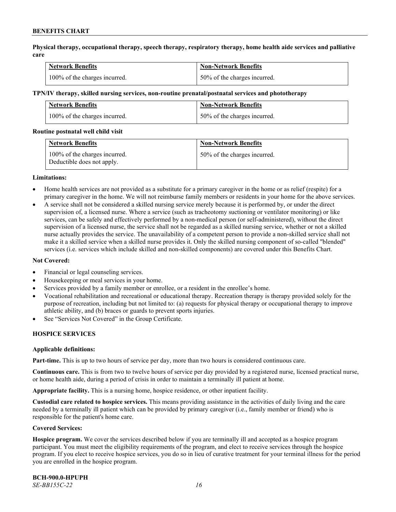**Physical therapy, occupational therapy, speech therapy, respiratory therapy, home health aide services and palliative care**

| <b>Network Benefits</b>       | <b>Non-Network Benefits</b>      |
|-------------------------------|----------------------------------|
| 100% of the charges incurred. | $150\%$ of the charges incurred. |

#### **TPN/IV therapy, skilled nursing services, non-routine prenatal/postnatal services and phototherapy**

| Network Benefits              | <b>Non-Network Benefits</b>  |
|-------------------------------|------------------------------|
| 100% of the charges incurred. | 50% of the charges incurred. |

#### **Routine postnatal well child visit**

| <b>Network Benefits</b>                                     | <b>Non-Network Benefits</b>  |
|-------------------------------------------------------------|------------------------------|
| 100% of the charges incurred.<br>Deductible does not apply. | 50% of the charges incurred. |

#### **Limitations:**

- Home health services are not provided as a substitute for a primary caregiver in the home or as relief (respite) for a primary caregiver in the home. We will not reimburse family members or residents in your home for the above services.
- A service shall not be considered a skilled nursing service merely because it is performed by, or under the direct supervision of, a licensed nurse. Where a service (such as tracheotomy suctioning or ventilator monitoring) or like services, can be safely and effectively performed by a non-medical person (or self-administered), without the direct supervision of a licensed nurse, the service shall not be regarded as a skilled nursing service, whether or not a skilled nurse actually provides the service. The unavailability of a competent person to provide a non-skilled service shall not make it a skilled service when a skilled nurse provides it. Only the skilled nursing component of so-called "blended" services (i.e. services which include skilled and non-skilled components) are covered under this Benefits Chart.

#### **Not Covered:**

- Financial or legal counseling services.
- Housekeeping or meal services in your home.
- Services provided by a family member or enrollee, or a resident in the enrollee's home.
- Vocational rehabilitation and recreational or educational therapy. Recreation therapy is therapy provided solely for the purpose of recreation, including but not limited to: (a) requests for physical therapy or occupational therapy to improve athletic ability, and (b) braces or guards to prevent sports injuries.
- See "Services Not Covered" in the Group Certificate.

# **HOSPICE SERVICES**

#### **Applicable definitions:**

**Part-time.** This is up to two hours of service per day, more than two hours is considered continuous care.

**Continuous care.** This is from two to twelve hours of service per day provided by a registered nurse, licensed practical nurse, or home health aide, during a period of crisis in order to maintain a terminally ill patient at home.

**Appropriate facility.** This is a nursing home, hospice residence, or other inpatient facility.

**Custodial care related to hospice services.** This means providing assistance in the activities of daily living and the care needed by a terminally ill patient which can be provided by primary caregiver (i.e., family member or friend) who is responsible for the patient's home care.

#### **Covered Services:**

**Hospice program.** We cover the services described below if you are terminally ill and accepted as a hospice program participant. You must meet the eligibility requirements of the program, and elect to receive services through the hospice program. If you elect to receive hospice services, you do so in lieu of curative treatment for your terminal illness for the period you are enrolled in the hospice program.

**BCH-900.0-HPUPH** *SE-BB155C-22 16*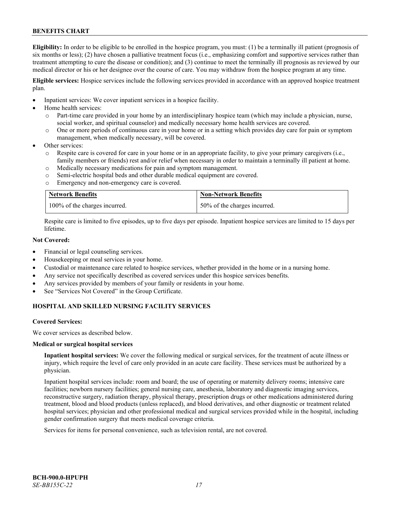**Eligibility:** In order to be eligible to be enrolled in the hospice program, you must: (1) be a terminally ill patient (prognosis of six months or less); (2) have chosen a palliative treatment focus (i.e., emphasizing comfort and supportive services rather than treatment attempting to cure the disease or condition); and (3) continue to meet the terminally ill prognosis as reviewed by our medical director or his or her designee over the course of care. You may withdraw from the hospice program at any time.

**Eligible services:** Hospice services include the following services provided in accordance with an approved hospice treatment plan.

- Inpatient services: We cover inpatient services in a hospice facility.
- Home health services:
	- o Part-time care provided in your home by an interdisciplinary hospice team (which may include a physician, nurse, social worker, and spiritual counselor) and medically necessary home health services are covered.
	- o One or more periods of continuous care in your home or in a setting which provides day care for pain or symptom management, when medically necessary, will be covered.
- Other services:
	- Respite care is covered for care in your home or in an appropriate facility, to give your primary caregivers (i.e., family members or friends) rest and/or relief when necessary in order to maintain a terminally ill patient at home.
	- o Medically necessary medications for pain and symptom management.
	- o Semi-electric hospital beds and other durable medical equipment are covered.
	- o Emergency and non-emergency care is covered.

| <b>Network Benefits</b>       | <b>Non-Network Benefits</b>  |
|-------------------------------|------------------------------|
| 100% of the charges incurred. | 50% of the charges incurred. |

Respite care is limited to five episodes, up to five days per episode. Inpatient hospice services are limited to 15 days per lifetime.

# **Not Covered:**

- Financial or legal counseling services.
- Housekeeping or meal services in your home.
- Custodial or maintenance care related to hospice services, whether provided in the home or in a nursing home.
- Any service not specifically described as covered services under this hospice services benefits.
- Any services provided by members of your family or residents in your home.
- See "Services Not Covered" in the Group Certificate.

# **HOSPITAL AND SKILLED NURSING FACILITY SERVICES**

#### **Covered Services:**

We cover services as described below.

#### **Medical or surgical hospital services**

**Inpatient hospital services:** We cover the following medical or surgical services, for the treatment of acute illness or injury, which require the level of care only provided in an acute care facility. These services must be authorized by a physician.

Inpatient hospital services include: room and board; the use of operating or maternity delivery rooms; intensive care facilities; newborn nursery facilities; general nursing care, anesthesia, laboratory and diagnostic imaging services, reconstructive surgery, radiation therapy, physical therapy, prescription drugs or other medications administered during treatment, blood and blood products (unless replaced), and blood derivatives, and other diagnostic or treatment related hospital services; physician and other professional medical and surgical services provided while in the hospital, including gender confirmation surgery that meets medical coverage criteria.

Services for items for personal convenience, such as television rental, are not covered.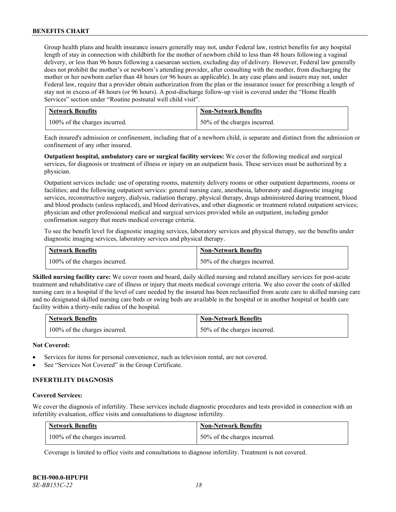Group health plans and health insurance issuers generally may not, under Federal law, restrict benefits for any hospital length of stay in connection with childbirth for the mother of newborn child to less than 48 hours following a vaginal delivery, or less than 96 hours following a caesarean section, excluding day of delivery. However, Federal law generally does not prohibit the mother's or newborn's attending provider, after consulting with the mother, from discharging the mother or her newborn earlier than 48 hours (or 96 hours as applicable). In any case plans and issuers may not, under Federal law, require that a provider obtain authorization from the plan or the insurance issuer for prescribing a length of stay not in excess of 48 hours (or 96 hours). A post-discharge follow-up visit is covered under the "Home Health Services" section under "Routine postnatal well child visit".

| <b>Network Benefits</b>       | <b>Non-Network Benefits</b>  |
|-------------------------------|------------------------------|
| 100% of the charges incurred. | 50% of the charges incurred. |

Each insured's admission or confinement, including that of a newborn child, is separate and distinct from the admission or confinement of any other insured.

**Outpatient hospital, ambulatory care or surgical facility services:** We cover the following medical and surgical services, for diagnosis or treatment of illness or injury on an outpatient basis. These services must be authorized by a physician.

Outpatient services include: use of operating rooms, maternity delivery rooms or other outpatient departments, rooms or facilities; and the following outpatient services: general nursing care, anesthesia, laboratory and diagnostic imaging services, reconstructive surgery, dialysis, radiation therapy, physical therapy, drugs administered during treatment, blood and blood products (unless replaced), and blood derivatives, and other diagnostic or treatment related outpatient services; physician and other professional medical and surgical services provided while an outpatient, including gender confirmation surgery that meets medical coverage criteria.

To see the benefit level for diagnostic imaging services, laboratory services and physical therapy, see the benefits under diagnostic imaging services, laboratory services and physical therapy.

| Network Benefits              | <b>Non-Network Benefits</b>  |
|-------------------------------|------------------------------|
| 100% of the charges incurred. | 50% of the charges incurred. |

**Skilled nursing facility care:** We cover room and board, daily skilled nursing and related ancillary services for post-acute treatment and rehabilitative care of illness or injury that meets medical coverage criteria. We also cover the costs of skilled nursing care in a hospital if the level of care needed by the insured has been reclassified from acute care to skilled nursing care and no designated skilled nursing care beds or swing beds are available in the hospital or in another hospital or health care facility within a thirty-mile radius of the hospital.

| <b>Network Benefits</b>       | <b>Non-Network Benefits</b>  |
|-------------------------------|------------------------------|
| 100% of the charges incurred. | 50% of the charges incurred. |

# **Not Covered:**

- Services for items for personal convenience, such as television rental, are not covered.
- See "Services Not Covered" in the Group Certificate.

# **INFERTILITY DIAGNOSIS**

#### **Covered Services:**

We cover the diagnosis of infertility. These services include diagnostic procedures and tests provided in connection with an infertility evaluation, office visits and consultations to diagnose infertility.

| <b>Network Benefits</b>       | <b>Non-Network Benefits</b>  |
|-------------------------------|------------------------------|
| 100% of the charges incurred. | 50% of the charges incurred. |

Coverage is limited to office visits and consultations to diagnose infertility. Treatment is not covered.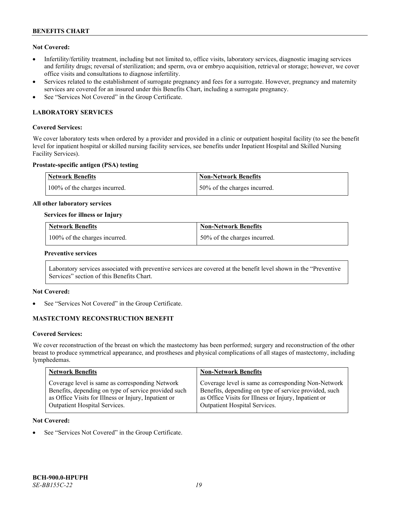# **Not Covered:**

- Infertility/fertility treatment, including but not limited to, office visits, laboratory services, diagnostic imaging services and fertility drugs; reversal of sterilization; and sperm, ova or embryo acquisition, retrieval or storage; however, we cover office visits and consultations to diagnose infertility.
- Services related to the establishment of surrogate pregnancy and fees for a surrogate. However, pregnancy and maternity services are covered for an insured under this Benefits Chart, including a surrogate pregnancy.
- See "Services Not Covered" in the Group Certificate.

# **LABORATORY SERVICES**

#### **Covered Services:**

We cover laboratory tests when ordered by a provider and provided in a clinic or outpatient hospital facility (to see the benefit level for inpatient hospital or skilled nursing facility services, see benefits under Inpatient Hospital and Skilled Nursing Facility Services).

#### **Prostate-specific antigen (PSA) testing**

| Network Benefits              | Non-Network Benefits          |
|-------------------------------|-------------------------------|
| 100% of the charges incurred. | 150% of the charges incurred. |

#### **All other laboratory services**

#### **Services for illness or Injury**

| <b>Network Benefits</b>       | <b>Non-Network Benefits</b>  |
|-------------------------------|------------------------------|
| 100% of the charges incurred. | 50% of the charges incurred. |

#### **Preventive services**

Laboratory services associated with preventive services are covered at the benefit level shown in the "Preventive Services" section of this Benefits Chart.

# **Not Covered:**

See "Services Not Covered" in the Group Certificate.

# **MASTECTOMY RECONSTRUCTION BENEFIT**

#### **Covered Services:**

We cover reconstruction of the breast on which the mastectomy has been performed; surgery and reconstruction of the other breast to produce symmetrical appearance, and prostheses and physical complications of all stages of mastectomy, including lymphedemas.

| <b>Network Benefits</b>                              | <b>Non-Network Benefits</b>                           |
|------------------------------------------------------|-------------------------------------------------------|
| Coverage level is same as corresponding Network      | Coverage level is same as corresponding Non-Network   |
| Benefits, depending on type of service provided such | Benefits, depending on type of service provided, such |
| as Office Visits for Illness or Injury, Inpatient or | as Office Visits for Illness or Injury, Inpatient or  |
| Outpatient Hospital Services.                        | Outpatient Hospital Services.                         |

#### **Not Covered:**

See "Services Not Covered" in the Group Certificate.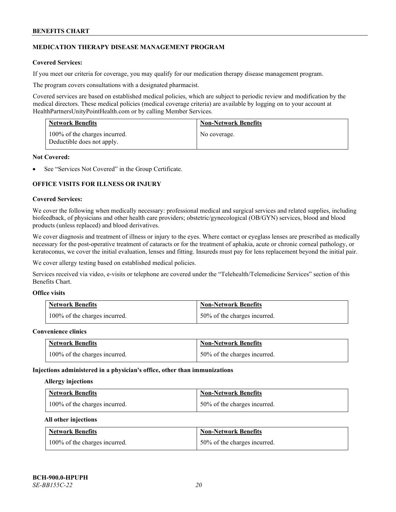# **MEDICATION THERAPY DISEASE MANAGEMENT PROGRAM**

# **Covered Services:**

If you meet our criteria for coverage, you may qualify for our medication therapy disease management program.

The program covers consultations with a designated pharmacist.

Covered services are based on established medical policies, which are subject to periodic review and modification by the medical directors. These medical policies (medical coverage criteria) are available by logging on to your account at [HealthPartnersUnityPointHealth.com](https://www.healthpartnersunitypointhealth.com/) or by calling Member Services.

| <b>Network Benefits</b>                                     | <b>Non-Network Benefits</b> |
|-------------------------------------------------------------|-----------------------------|
| 100% of the charges incurred.<br>Deductible does not apply. | No coverage.                |

#### **Not Covered:**

See "Services Not Covered" in the Group Certificate.

# **OFFICE VISITS FOR ILLNESS OR INJURY**

#### **Covered Services:**

We cover the following when medically necessary: professional medical and surgical services and related supplies, including biofeedback, of physicians and other health care providers; obstetric/gynecological (OB/GYN) services, blood and blood products (unless replaced) and blood derivatives.

We cover diagnosis and treatment of illness or injury to the eyes. Where contact or eyeglass lenses are prescribed as medically necessary for the post-operative treatment of cataracts or for the treatment of aphakia, acute or chronic corneal pathology, or keratoconus, we cover the initial evaluation, lenses and fitting. Insureds must pay for lens replacement beyond the initial pair.

We cover allergy testing based on established medical policies.

Services received via video, e-visits or telephone are covered under the "Telehealth/Telemedicine Services" section of this Benefits Chart.

# **Office visits**

| <b>Network Benefits</b>       | <b>Non-Network Benefits</b>  |
|-------------------------------|------------------------------|
| 100% of the charges incurred. | 50% of the charges incurred. |

#### **Convenience clinics**

| <b>Network Benefits</b>       | <b>Non-Network Benefits</b>  |
|-------------------------------|------------------------------|
| 100% of the charges incurred. | 50% of the charges incurred. |

#### **Injections administered in a physician's office, other than immunizations**

#### **Allergy injections**

| <b>Network Benefits</b>       | <b>Non-Network Benefits</b>  |
|-------------------------------|------------------------------|
| 100% of the charges incurred. | 50% of the charges incurred. |

#### **All other injections**

| <b>Network Benefits</b>       | <b>Non-Network Benefits</b>  |
|-------------------------------|------------------------------|
| 100% of the charges incurred. | 50% of the charges incurred. |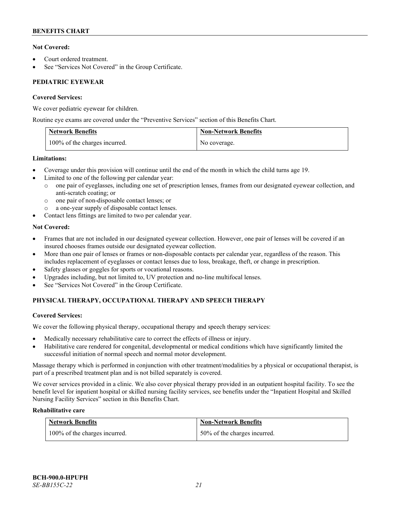# **Not Covered:**

- Court ordered treatment.
- See "Services Not Covered" in the Group Certificate.

# **PEDIATRIC EYEWEAR**

# **Covered Services:**

We cover pediatric eyewear for children.

Routine eye exams are covered under the "Preventive Services" section of this Benefits Chart.

| <b>Network Benefits</b>       | <b>Non-Network Benefits</b> |
|-------------------------------|-----------------------------|
| 100% of the charges incurred. | No coverage.                |

# **Limitations:**

- Coverage under this provision will continue until the end of the month in which the child turns age 19.
- Limited to one of the following per calendar year:
	- o one pair of eyeglasses, including one set of prescription lenses, frames from our designated eyewear collection, and anti-scratch coating; or
	- o one pair of non-disposable contact lenses; or
	- a one-year supply of disposable contact lenses.
- Contact lens fittings are limited to two per calendar year.

# **Not Covered:**

- Frames that are not included in our designated eyewear collection. However, one pair of lenses will be covered if an insured chooses frames outside our designated eyewear collection.
- More than one pair of lenses or frames or non-disposable contacts per calendar year, regardless of the reason. This includes replacement of eyeglasses or contact lenses due to loss, breakage, theft, or change in prescription.
- Safety glasses or goggles for sports or vocational reasons.
- Upgrades including, but not limited to, UV protection and no-line multifocal lenses.
- See "Services Not Covered" in the Group Certificate.

# **PHYSICAL THERAPY, OCCUPATIONAL THERAPY AND SPEECH THERAPY**

# **Covered Services:**

We cover the following physical therapy, occupational therapy and speech therapy services:

- Medically necessary rehabilitative care to correct the effects of illness or injury.
- Habilitative care rendered for congenital, developmental or medical conditions which have significantly limited the successful initiation of normal speech and normal motor development.

Massage therapy which is performed in conjunction with other treatment/modalities by a physical or occupational therapist, is part of a prescribed treatment plan and is not billed separately is covered.

We cover services provided in a clinic. We also cover physical therapy provided in an outpatient hospital facility. To see the benefit level for inpatient hospital or skilled nursing facility services, see benefits under the "Inpatient Hospital and Skilled Nursing Facility Services" section in this Benefits Chart.

# **Rehabilitative care**

| <b>Network Benefits</b>       | <b>Non-Network Benefits</b>  |
|-------------------------------|------------------------------|
| 100% of the charges incurred. | 50% of the charges incurred. |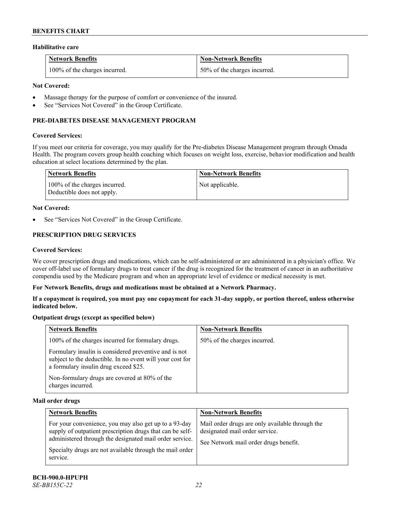#### **Habilitative care**

| <b>Network Benefits</b>       | <b>Non-Network Benefits</b>  |
|-------------------------------|------------------------------|
| 100% of the charges incurred. | 50% of the charges incurred. |

# **Not Covered:**

- Massage therapy for the purpose of comfort or convenience of the insured.
- See "Services Not Covered" in the Group Certificate.

# **PRE-DIABETES DISEASE MANAGEMENT PROGRAM**

#### **Covered Services:**

If you meet our criteria for coverage, you may qualify for the Pre-diabetes Disease Management program through Omada Health. The program covers group health coaching which focuses on weight loss, exercise, behavior modification and health education at select locations determined by the plan.

| Network Benefits                                            | <b>Non-Network Benefits</b> |
|-------------------------------------------------------------|-----------------------------|
| 100% of the charges incurred.<br>Deductible does not apply. | Not applicable.             |

#### **Not Covered:**

See "Services Not Covered" in the Group Certificate.

# **PRESCRIPTION DRUG SERVICES**

#### **Covered Services:**

We cover prescription drugs and medications, which can be self-administered or are administered in a physician's office. We cover off-label use of formulary drugs to treat cancer if the drug is recognized for the treatment of cancer in an authoritative compendia used by the Medicare program and when an appropriate level of evidence or medical necessity is met.

#### **For Network Benefits, drugs and medications must be obtained at a Network Pharmacy.**

**If a copayment is required, you must pay one copayment for each 31-day supply, or portion thereof, unless otherwise indicated below.**

# **Outpatient drugs (except as specified below)**

| <b>Network Benefits</b>                                                                                                                                     | <b>Non-Network Benefits</b>  |
|-------------------------------------------------------------------------------------------------------------------------------------------------------------|------------------------------|
| 100% of the charges incurred for formulary drugs.                                                                                                           | 50% of the charges incurred. |
| Formulary insulin is considered preventive and is not<br>subject to the deductible. In no event will your cost for<br>a formulary insulin drug exceed \$25. |                              |
| Non-formulary drugs are covered at 80% of the<br>charges incurred.                                                                                          |                              |

#### **Mail order drugs**

| <b>Network Benefits</b>                                                                                                                                                                                                                               | <b>Non-Network Benefits</b>                                                                                                |
|-------------------------------------------------------------------------------------------------------------------------------------------------------------------------------------------------------------------------------------------------------|----------------------------------------------------------------------------------------------------------------------------|
| For your convenience, you may also get up to a 93-day<br>supply of outpatient prescription drugs that can be self-<br>administered through the designated mail order service.<br>Specialty drugs are not available through the mail order<br>service. | Mail order drugs are only available through the<br>designated mail order service.<br>See Network mail order drugs benefit. |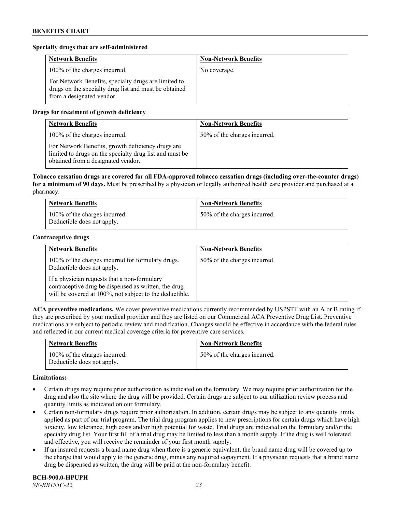# **Specialty drugs that are self-administered**

| <b>Network Benefits</b>                                                                                                                    | <b>Non-Network Benefits</b> |
|--------------------------------------------------------------------------------------------------------------------------------------------|-----------------------------|
| 100% of the charges incurred.                                                                                                              | No coverage.                |
| For Network Benefits, specialty drugs are limited to<br>drugs on the specialty drug list and must be obtained<br>from a designated vendor. |                             |

# **Drugs for treatment of growth deficiency**

| <b>Network Benefits</b>                                                                                                                            | <b>Non-Network Benefits</b>  |
|----------------------------------------------------------------------------------------------------------------------------------------------------|------------------------------|
| 100% of the charges incurred.                                                                                                                      | 50% of the charges incurred. |
| For Network Benefits, growth deficiency drugs are<br>limited to drugs on the specialty drug list and must be<br>obtained from a designated vendor. |                              |

**Tobacco cessation drugs are covered for all FDA-approved tobacco cessation drugs (including over-the-counter drugs) for a minimum of 90 days.** Must be prescribed by a physician or legally authorized health care provider and purchased at a pharmacy.

| <b>Network Benefits</b>                                     | <b>Non-Network Benefits</b>  |
|-------------------------------------------------------------|------------------------------|
| 100% of the charges incurred.<br>Deductible does not apply. | 50% of the charges incurred. |

#### **Contraceptive drugs**

| <b>Network Benefits</b>                                                                                                                                         | <b>Non-Network Benefits</b>  |
|-----------------------------------------------------------------------------------------------------------------------------------------------------------------|------------------------------|
| 100% of the charges incurred for formulary drugs.<br>Deductible does not apply.                                                                                 | 50% of the charges incurred. |
| If a physician requests that a non-formulary<br>contraceptive drug be dispensed as written, the drug<br>will be covered at 100%, not subject to the deductible. |                              |

**ACA preventive medications.** We cover preventive medications currently recommended by USPSTF with an A or B rating if they are prescribed by your medical provider and they are listed on our Commercial ACA Preventive Drug List. Preventive medications are subject to periodic review and modification. Changes would be effective in accordance with the federal rules and reflected in our current medical coverage criteria for preventive care services.

| <b>Network Benefits</b>                                     | <b>Non-Network Benefits</b>  |
|-------------------------------------------------------------|------------------------------|
| 100% of the charges incurred.<br>Deductible does not apply. | 50% of the charges incurred. |

#### **Limitations:**

- Certain drugs may require prior authorization as indicated on the formulary. We may require prior authorization for the drug and also the site where the drug will be provided. Certain drugs are subject to our utilization review process and quantity limits as indicated on our formulary.
- Certain non-formulary drugs require prior authorization. In addition, certain drugs may be subject to any quantity limits applied as part of our trial program. The trial drug program applies to new prescriptions for certain drugs which have high toxicity, low tolerance, high costs and/or high potential for waste. Trial drugs are indicated on the formulary and/or the specialty drug list. Your first fill of a trial drug may be limited to less than a month supply. If the drug is well tolerated and effective, you will receive the remainder of your first month supply.
- If an insured requests a brand name drug when there is a generic equivalent, the brand name drug will be covered up to the charge that would apply to the generic drug, minus any required copayment. If a physician requests that a brand name drug be dispensed as written, the drug will be paid at the non-formulary benefit.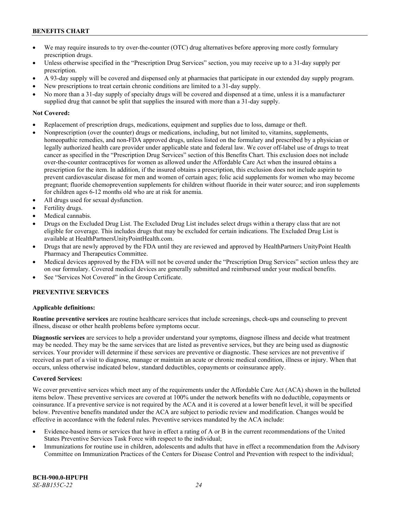- We may require insureds to try over-the-counter (OTC) drug alternatives before approving more costly formulary prescription drugs.
- Unless otherwise specified in the "Prescription Drug Services" section, you may receive up to a 31-day supply per prescription.
- A 93-day supply will be covered and dispensed only at pharmacies that participate in our extended day supply program.
- New prescriptions to treat certain chronic conditions are limited to a 31-day supply.
- No more than a 31-day supply of specialty drugs will be covered and dispensed at a time, unless it is a manufacturer supplied drug that cannot be split that supplies the insured with more than a 31-day supply.

# **Not Covered:**

- Replacement of prescription drugs, medications, equipment and supplies due to loss, damage or theft.
- Nonprescription (over the counter) drugs or medications, including, but not limited to, vitamins, supplements, homeopathic remedies, and non-FDA approved drugs, unless listed on the formulary and prescribed by a physician or legally authorized health care provider under applicable state and federal law. We cover off-label use of drugs to treat cancer as specified in the "Prescription Drug Services" section of this Benefits Chart. This exclusion does not include over-the-counter contraceptives for women as allowed under the Affordable Care Act when the insured obtains a prescription for the item. In addition, if the insured obtains a prescription, this exclusion does not include aspirin to prevent cardiovascular disease for men and women of certain ages; folic acid supplements for women who may become pregnant; fluoride chemoprevention supplements for children without fluoride in their water source; and iron supplements for children ages 6-12 months old who are at risk for anemia.
- All drugs used for sexual dysfunction.
- Fertility drugs.
- Medical cannabis.
- Drugs on the Excluded Drug List. The Excluded Drug List includes select drugs within a therapy class that are not eligible for coverage. This includes drugs that may be excluded for certain indications. The Excluded Drug List is available a[t HealthPartnersUnityPointHealth.com.](https://www.healthpartnersunitypointhealth.com/)
- Drugs that are newly approved by the FDA until they are reviewed and approved by HealthPartners UnityPoint Health Pharmacy and Therapeutics Committee.
- Medical devices approved by the FDA will not be covered under the "Prescription Drug Services" section unless they are on our formulary. Covered medical devices are generally submitted and reimbursed under your medical benefits.
- See "Services Not Covered" in the Group Certificate.

# **PREVENTIVE SERVICES**

# **Applicable definitions:**

**Routine preventive services** are routine healthcare services that include screenings, check-ups and counseling to prevent illness, disease or other health problems before symptoms occur.

**Diagnostic services** are services to help a provider understand your symptoms, diagnose illness and decide what treatment may be needed. They may be the same services that are listed as preventive services, but they are being used as diagnostic services. Your provider will determine if these services are preventive or diagnostic. These services are not preventive if received as part of a visit to diagnose, manage or maintain an acute or chronic medical condition, illness or injury. When that occurs, unless otherwise indicated below, standard deductibles, copayments or coinsurance apply.

# **Covered Services:**

We cover preventive services which meet any of the requirements under the Affordable Care Act (ACA) shown in the bulleted items below. These preventive services are covered at 100% under the network benefits with no deductible, copayments or coinsurance. If a preventive service is not required by the ACA and it is covered at a lower benefit level, it will be specified below. Preventive benefits mandated under the ACA are subject to periodic review and modification. Changes would be effective in accordance with the federal rules. Preventive services mandated by the ACA include:

- Evidence-based items or services that have in effect a rating of A or B in the current recommendations of the United States Preventive Services Task Force with respect to the individual;
- Immunizations for routine use in children, adolescents and adults that have in effect a recommendation from the Advisory Committee on Immunization Practices of the Centers for Disease Control and Prevention with respect to the individual;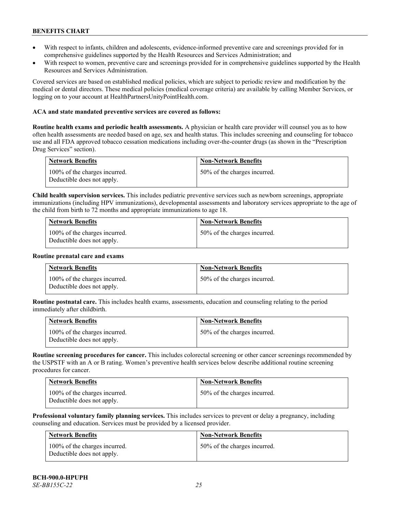- With respect to infants, children and adolescents, evidence-informed preventive care and screenings provided for in comprehensive guidelines supported by the Health Resources and Services Administration; and
- With respect to women, preventive care and screenings provided for in comprehensive guidelines supported by the Health Resources and Services Administration.

Covered services are based on established medical policies, which are subject to periodic review and modification by the medical or dental directors. These medical policies (medical coverage criteria) are available by calling Member Services, or logging on to your account at [HealthPartnersUnityPointHealth.com.](https://www.healthpartnersunitypointhealth.com/)

#### **ACA and state mandated preventive services are covered as follows:**

**Routine health exams and periodic health assessments.** A physician or health care provider will counsel you as to how often health assessments are needed based on age, sex and health status. This includes screening and counseling for tobacco use and all FDA approved tobacco cessation medications including over-the-counter drugs (as shown in the "Prescription Drug Services" section).

| <b>Network Benefits</b>                                     | <b>Non-Network Benefits</b>  |
|-------------------------------------------------------------|------------------------------|
| 100% of the charges incurred.<br>Deductible does not apply. | 50% of the charges incurred. |

**Child health supervision services.** This includes pediatric preventive services such as newborn screenings, appropriate immunizations (including HPV immunizations), developmental assessments and laboratory services appropriate to the age of the child from birth to 72 months and appropriate immunizations to age 18.

| <b>Network Benefits</b>                                     | <b>Non-Network Benefits</b>  |
|-------------------------------------------------------------|------------------------------|
| 100% of the charges incurred.<br>Deductible does not apply. | 50% of the charges incurred. |

#### **Routine prenatal care and exams**

| <b>Network Benefits</b>                                     | <b>Non-Network Benefits</b>  |
|-------------------------------------------------------------|------------------------------|
| 100% of the charges incurred.<br>Deductible does not apply. | 50% of the charges incurred. |

**Routine postnatal care.** This includes health exams, assessments, education and counseling relating to the period immediately after childbirth.

| <b>Network Benefits</b>                                     | <b>Non-Network Benefits</b>  |
|-------------------------------------------------------------|------------------------------|
| 100% of the charges incurred.<br>Deductible does not apply. | 50% of the charges incurred. |

**Routine screening procedures for cancer.** This includes colorectal screening or other cancer screenings recommended by the USPSTF with an A or B rating. Women's preventive health services below describe additional routine screening procedures for cancer.

| <b>Network Benefits</b>                                     | <b>Non-Network Benefits</b>  |
|-------------------------------------------------------------|------------------------------|
| 100% of the charges incurred.<br>Deductible does not apply. | 50% of the charges incurred. |

**Professional voluntary family planning services.** This includes services to prevent or delay a pregnancy, including counseling and education. Services must be provided by a licensed provider.

| Network Benefits                                            | <b>Non-Network Benefits</b>  |
|-------------------------------------------------------------|------------------------------|
| 100% of the charges incurred.<br>Deductible does not apply. | 50% of the charges incurred. |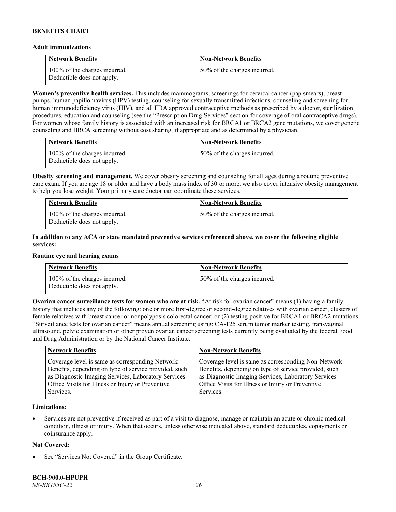#### **Adult immunizations**

| <b>Network Benefits</b>                                     | <b>Non-Network Benefits</b>  |
|-------------------------------------------------------------|------------------------------|
| 100% of the charges incurred.<br>Deductible does not apply. | 50% of the charges incurred. |

**Women's preventive health services.** This includes mammograms, screenings for cervical cancer (pap smears), breast pumps, human papillomavirus (HPV) testing, counseling for sexually transmitted infections, counseling and screening for human immunodeficiency virus (HIV), and all FDA approved contraceptive methods as prescribed by a doctor, sterilization procedures, education and counseling (see the "Prescription Drug Services" section for coverage of oral contraceptive drugs). For women whose family history is associated with an increased risk for BRCA1 or BRCA2 gene mutations, we cover genetic counseling and BRCA screening without cost sharing, if appropriate and as determined by a physician.

| <b>Network Benefits</b>                                     | <b>Non-Network Benefits</b>  |
|-------------------------------------------------------------|------------------------------|
| 100% of the charges incurred.<br>Deductible does not apply. | 50% of the charges incurred. |

**Obesity screening and management.** We cover obesity screening and counseling for all ages during a routine preventive care exam. If you are age 18 or older and have a body mass index of 30 or more, we also cover intensive obesity management to help you lose weight. Your primary care doctor can coordinate these services.

| <b>Network Benefits</b>                                     | <b>Non-Network Benefits</b>  |
|-------------------------------------------------------------|------------------------------|
| 100% of the charges incurred.<br>Deductible does not apply. | 50% of the charges incurred. |

# **In addition to any ACA or state mandated preventive services referenced above, we cover the following eligible services:**

#### **Routine eye and hearing exams**

| <b>Network Benefits</b>                                     | <b>Non-Network Benefits</b>  |
|-------------------------------------------------------------|------------------------------|
| 100% of the charges incurred.<br>Deductible does not apply. | 50% of the charges incurred. |

**Ovarian cancer surveillance tests for women who are at risk. "At risk for ovarian cancer" means (1) having a family** history that includes any of the following: one or more first-degree or second-degree relatives with ovarian cancer, clusters of female relatives with breast cancer or nonpolyposis colorectal cancer; or (2) testing positive for BRCA1 or BRCA2 mutations. "Surveillance tests for ovarian cancer" means annual screening using: CA-125 serum tumor marker testing, transvaginal ultrasound, pelvic examination or other proven ovarian cancer screening tests currently being evaluated by the federal Food and Drug Administration or by the National Cancer Institute.

| <b>Network Benefits</b>                               | <b>Non-Network Benefits</b>                           |
|-------------------------------------------------------|-------------------------------------------------------|
| Coverage level is same as corresponding Network       | Coverage level is same as corresponding Non-Network   |
| Benefits, depending on type of service provided, such | Benefits, depending on type of service provided, such |
| as Diagnostic Imaging Services, Laboratory Services   | as Diagnostic Imaging Services, Laboratory Services   |
| Office Visits for Illness or Injury or Preventive     | Office Visits for Illness or Injury or Preventive     |
| Services.                                             | Services.                                             |

# **Limitations:**

• Services are not preventive if received as part of a visit to diagnose, manage or maintain an acute or chronic medical condition, illness or injury. When that occurs, unless otherwise indicated above, standard deductibles, copayments or coinsurance apply.

# **Not Covered:**

See "Services Not Covered" in the Group Certificate.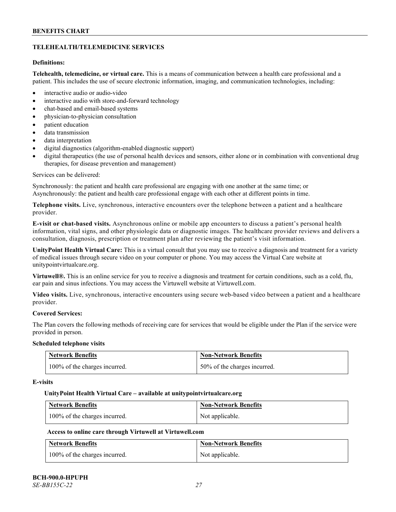# **TELEHEALTH/TELEMEDICINE SERVICES**

# **Definitions:**

**Telehealth, telemedicine, or virtual care.** This is a means of communication between a health care professional and a patient. This includes the use of secure electronic information, imaging, and communication technologies, including:

- interactive audio or audio-video
- interactive audio with store-and-forward technology
- chat-based and email-based systems
- physician-to-physician consultation
- patient education
- data transmission
- data interpretation
- digital diagnostics (algorithm-enabled diagnostic support)
- digital therapeutics (the use of personal health devices and sensors, either alone or in combination with conventional drug therapies, for disease prevention and management)

#### Services can be delivered:

Synchronously: the patient and health care professional are engaging with one another at the same time; or Asynchronously: the patient and health care professional engage with each other at different points in time.

**Telephone visits.** Live, synchronous, interactive encounters over the telephone between a patient and a healthcare provider.

**E-visit or chat-based visits.** Asynchronous online or mobile app encounters to discuss a patient's personal health information, vital signs, and other physiologic data or diagnostic images. The healthcare provider reviews and delivers a consultation, diagnosis, prescription or treatment plan after reviewing the patient's visit information.

**UnityPoint Health Virtual Care:** This is a virtual consult that you may use to receive a diagnosis and treatment for a variety of medical issues through secure video on your computer or phone. You may access the Virtual Care website at [unitypointvirtualcare.org.](https://unitypointvirtualcare.org/landing.htm)

**Virtuwell®.** This is an online service for you to receive a diagnosis and treatment for certain conditions, such as a cold, flu, ear pain and sinus infections. You may access the Virtuwell website at [Virtuwell.com.](https://www.virtuwell.com/)

**Video visits.** Live, synchronous, interactive encounters using secure web-based video between a patient and a healthcare provider.

# **Covered Services:**

The Plan covers the following methods of receiving care for services that would be eligible under the Plan if the service were provided in person.

#### **Scheduled telephone visits**

| <b>Network Benefits</b>       | <b>Non-Network Benefits</b>  |
|-------------------------------|------------------------------|
| 100% of the charges incurred. | 50% of the charges incurred. |

#### **E-visits**

#### **UnityPoint Health Virtual Care – available a[t unitypointvirtualcare.org](http://www.unitypointvirtualcare.org/)**

| <b>Network Benefits</b>       | <b>Non-Network Benefits</b> |
|-------------------------------|-----------------------------|
| 100% of the charges incurred. | Not applicable.             |

# **Access to online care through Virtuwell at [Virtuwell.com](http://www.virtuwell.com/)**

| <b>Network Benefits</b>       | <b>Non-Network Benefits</b> |
|-------------------------------|-----------------------------|
| 100% of the charges incurred. | Not applicable.             |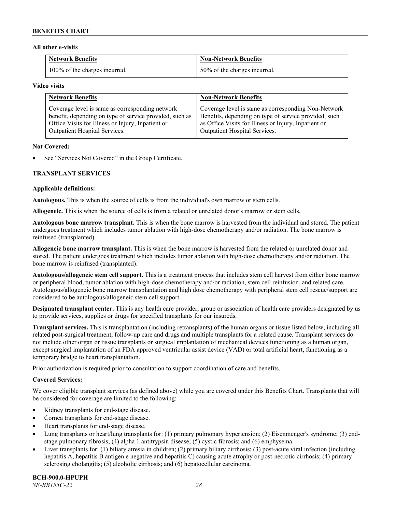#### **All other e-visits**

| <b>Network Benefits</b>       | <b>Non-Network Benefits</b>  |
|-------------------------------|------------------------------|
| 100% of the charges incurred. | 50% of the charges incurred. |

#### **Video visits**

| <b>Network Benefits</b>                                 | <b>Non-Network Benefits</b>                           |
|---------------------------------------------------------|-------------------------------------------------------|
| Coverage level is same as corresponding network         | Coverage level is same as corresponding Non-Network   |
| benefit, depending on type of service provided, such as | Benefits, depending on type of service provided, such |
| Office Visits for Illness or Injury, Inpatient or       | as Office Visits for Illness or Injury, Inpatient or  |
| Outpatient Hospital Services.                           | Outpatient Hospital Services.                         |

#### **Not Covered:**

See "Services Not Covered" in the Group Certificate.

# **TRANSPLANT SERVICES**

#### **Applicable definitions:**

**Autologous.** This is when the source of cells is from the individual's own marrow or stem cells.

**Allogeneic.** This is when the source of cells is from a related or unrelated donor's marrow or stem cells.

**Autologous bone marrow transplant.** This is when the bone marrow is harvested from the individual and stored. The patient undergoes treatment which includes tumor ablation with high-dose chemotherapy and/or radiation. The bone marrow is reinfused (transplanted).

**Allogeneic bone marrow transplant.** This is when the bone marrow is harvested from the related or unrelated donor and stored. The patient undergoes treatment which includes tumor ablation with high-dose chemotherapy and/or radiation. The bone marrow is reinfused (transplanted).

**Autologous/allogeneic stem cell support.** This is a treatment process that includes stem cell harvest from either bone marrow or peripheral blood, tumor ablation with high-dose chemotherapy and/or radiation, stem cell reinfusion, and related care. Autologous/allogeneic bone marrow transplantation and high dose chemotherapy with peripheral stem cell rescue/support are considered to be autologous/allogeneic stem cell support.

**Designated transplant center.** This is any health care provider, group or association of health care providers designated by us to provide services, supplies or drugs for specified transplants for our insureds.

**Transplant services.** This is transplantation (including retransplants) of the human organs or tissue listed below, including all related post-surgical treatment, follow-up care and drugs and multiple transplants for a related cause. Transplant services do not include other organ or tissue transplants or surgical implantation of mechanical devices functioning as a human organ, except surgical implantation of an FDA approved ventricular assist device (VAD) or total artificial heart, functioning as a temporary bridge to heart transplantation.

Prior authorization is required prior to consultation to support coordination of care and benefits.

# **Covered Services:**

We cover eligible transplant services (as defined above) while you are covered under this Benefits Chart. Transplants that will be considered for coverage are limited to the following:

- Kidney transplants for end-stage disease.
- Cornea transplants for end-stage disease.
- Heart transplants for end-stage disease.
- Lung transplants or heart/lung transplants for: (1) primary pulmonary hypertension; (2) Eisenmenger's syndrome; (3) endstage pulmonary fibrosis; (4) alpha 1 antitrypsin disease; (5) cystic fibrosis; and (6) emphysema.
- Liver transplants for: (1) biliary atresia in children; (2) primary biliary cirrhosis; (3) post-acute viral infection (including hepatitis A, hepatitis B antigen e negative and hepatitis C) causing acute atrophy or post-necrotic cirrhosis; (4) primary sclerosing cholangitis; (5) alcoholic cirrhosis; and (6) hepatocellular carcinoma.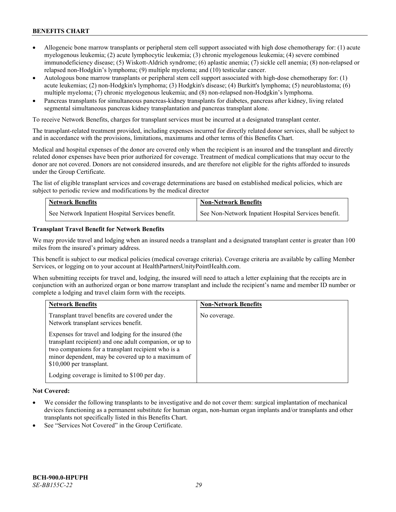- Allogeneic bone marrow transplants or peripheral stem cell support associated with high dose chemotherapy for: (1) acute myelogenous leukemia; (2) acute lymphocytic leukemia; (3) chronic myelogenous leukemia; (4) severe combined immunodeficiency disease; (5) Wiskott-Aldrich syndrome; (6) aplastic anemia; (7) sickle cell anemia; (8) non-relapsed or relapsed non-Hodgkin's lymphoma; (9) multiple myeloma; and (10) testicular cancer.
- Autologous bone marrow transplants or peripheral stem cell support associated with high-dose chemotherapy for: (1) acute leukemias; (2) non-Hodgkin's lymphoma; (3) Hodgkin's disease; (4) Burkitt's lymphoma; (5) neuroblastoma; (6) multiple myeloma; (7) chronic myelogenous leukemia; and (8) non-relapsed non-Hodgkin's lymphoma.
- Pancreas transplants for simultaneous pancreas-kidney transplants for diabetes, pancreas after kidney, living related segmental simultaneous pancreas kidney transplantation and pancreas transplant alone.

To receive Network Benefits, charges for transplant services must be incurred at a designated transplant center.

The transplant-related treatment provided, including expenses incurred for directly related donor services, shall be subject to and in accordance with the provisions, limitations, maximums and other terms of this Benefits Chart.

Medical and hospital expenses of the donor are covered only when the recipient is an insured and the transplant and directly related donor expenses have been prior authorized for coverage. Treatment of medical complications that may occur to the donor are not covered. Donors are not considered insureds, and are therefore not eligible for the rights afforded to insureds under the Group Certificate.

The list of eligible transplant services and coverage determinations are based on established medical policies, which are subject to periodic review and modifications by the medical director

| <b>Network Benefits</b>                          | <b>Non-Network Benefits</b>                          |
|--------------------------------------------------|------------------------------------------------------|
| See Network Inpatient Hospital Services benefit. | See Non-Network Inpatient Hospital Services benefit. |

#### **Transplant Travel Benefit for Network Benefits**

We may provide travel and lodging when an insured needs a transplant and a designated transplant center is greater than 100 miles from the insured's primary address.

This benefit is subject to our medical policies (medical coverage criteria). Coverage criteria are available by calling Member Services, or logging on to your account at [HealthPartnersUnityPointHealth.com.](https://www.healthpartnersunitypointhealth.com/)

When submitting receipts for travel and, lodging, the insured will need to attach a letter explaining that the receipts are in conjunction with an authorized organ or bone marrow transplant and include the recipient's name and member ID number or complete a lodging and travel claim form with the receipts.

| <b>Network Benefits</b>                                                                                                                                                                                                                                 | <b>Non-Network Benefits</b> |
|---------------------------------------------------------------------------------------------------------------------------------------------------------------------------------------------------------------------------------------------------------|-----------------------------|
| Transplant travel benefits are covered under the<br>Network transplant services benefit.                                                                                                                                                                | No coverage.                |
| Expenses for travel and lodging for the insured (the<br>transplant recipient) and one adult companion, or up to<br>two companions for a transplant recipient who is a<br>minor dependent, may be covered up to a maximum of<br>\$10,000 per transplant. |                             |
| Lodging coverage is limited to \$100 per day.                                                                                                                                                                                                           |                             |

# **Not Covered:**

- We consider the following transplants to be investigative and do not cover them: surgical implantation of mechanical devices functioning as a permanent substitute for human organ, non-human organ implants and/or transplants and other transplants not specifically listed in this Benefits Chart.
- See "Services Not Covered" in the Group Certificate.